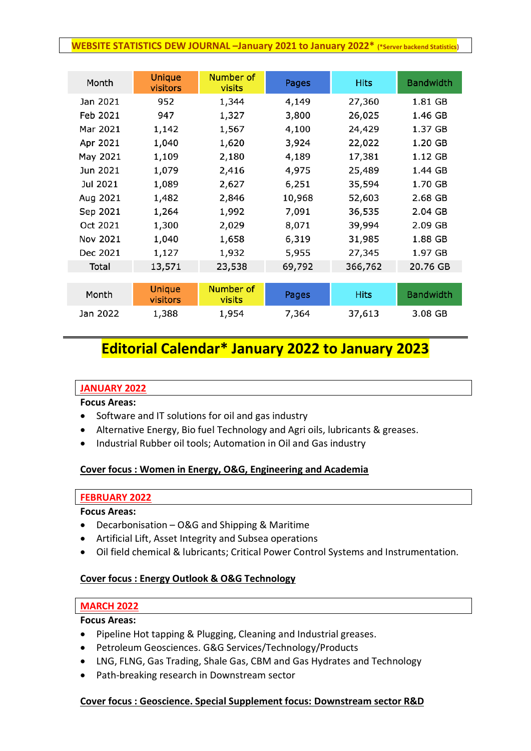#### **WEBSITE STATISTICS DEW JOURNAL –January 2021 to January 2022\* (\*Server backend Statistics)**

| Month    | <b>Unique</b><br>visitors | Number of<br>visits | Pages  | <b>Hits</b> | <b>Bandwidth</b> |
|----------|---------------------------|---------------------|--------|-------------|------------------|
| Jan 2021 | 952                       | 1,344               | 4,149  | 27,360      | 1.81 GB          |
| Feb 2021 | 947                       | 1,327               | 3,800  | 26,025      | 1.46 GB          |
| Mar 2021 | 1,142                     | 1,567               | 4,100  | 24,429      | 1.37 GB          |
| Apr 2021 | 1,040                     | 1,620               | 3,924  | 22,022      | 1.20 GB          |
| May 2021 | 1,109                     | 2,180               | 4,189  | 17,381      | 1.12 GB          |
| Jun 2021 | 1,079                     | 2,416               | 4,975  | 25,489      | 1.44 GB          |
| Jul 2021 | 1,089                     | 2,627               | 6,251  | 35,594      | 1.70 GB          |
| Aug 2021 | 1,482                     | 2,846               | 10,968 | 52,603      | 2.68 GB          |
| Sep 2021 | 1,264                     | 1,992               | 7,091  | 36,535      | 2.04 GB          |
| Oct 2021 | 1,300                     | 2,029               | 8,071  | 39,994      | 2.09 GB          |
| Nov 2021 | 1,040                     | 1,658               | 6,319  | 31,985      | 1.88 GB          |
| Dec 2021 | 1,127                     | 1,932               | 5,955  | 27,345      | 1.97 GB          |
| Total    | 13,571                    | 23,538              | 69,792 | 366,762     | 20.76 GB         |
|          |                           |                     |        |             |                  |
| Month    | <b>Unique</b><br>visitors | Number of<br>visits | Pages  | <b>Hits</b> | <b>Bandwidth</b> |
| Jan 2022 | 1,388                     | 1,954               | 7,364  | 37,613      | 3.08 GB          |

# **Editorial Calendar\* January 2022 to January 2023**

#### **JANUARY 2022**

**Focus Areas:**

- Software and IT solutions for oil and gas industry
- Alternative Energy, Bio fuel Technology and Agri oils, lubricants & greases.
- Industrial Rubber oil tools; Automation in Oil and Gas industry

# **Cover focus : Women in Energy, O&G, Engineering and Academia**

#### **FEBRUARY 2022**

#### **Focus Areas:**

- Decarbonisation O&G and Shipping & Maritime
- Artificial Lift, Asset Integrity and Subsea operations
- Oil field chemical & lubricants; Critical Power Control Systems and Instrumentation.

# **Cover focus : Energy Outlook & O&G Technology**

#### **MARCH 2022**

**Focus Areas:**

- Pipeline Hot tapping & Plugging, Cleaning and Industrial greases.
- Petroleum Geosciences. G&G Services/Technology/Products
- LNG, FLNG, Gas Trading, Shale Gas, CBM and Gas Hydrates and Technology
- Path-breaking research in Downstream sector

# **Cover focus : Geoscience. Special Supplement focus: Downstream sector R&D**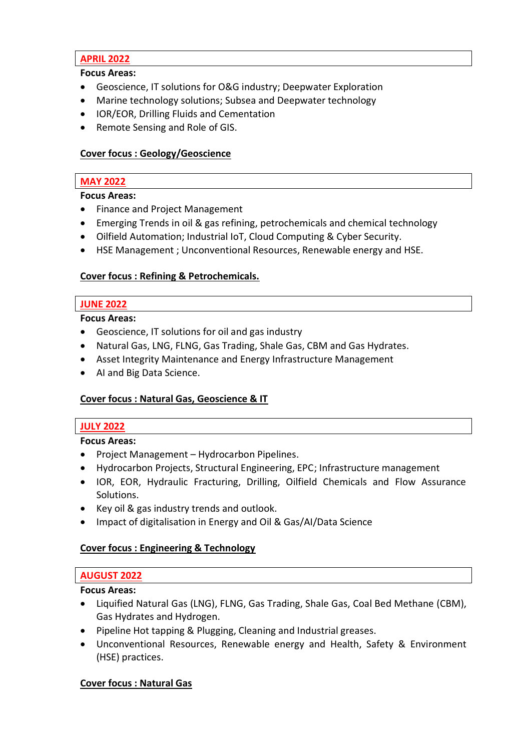# **APRIL 2022**

**Focus Areas:**

- Geoscience, IT solutions for O&G industry; Deepwater Exploration
- Marine technology solutions; Subsea and Deepwater technology
- IOR/EOR, Drilling Fluids and Cementation
- Remote Sensing and Role of GIS.

# **Cover focus : Geology/Geoscience**

# **MAY 2022**

# **Focus Areas:**

- Finance and Project Management
- Emerging Trends in oil & gas refining, petrochemicals and chemical technology
- Oilfield Automation; Industrial IoT, Cloud Computing & Cyber Security.
- HSE Management ; Unconventional Resources, Renewable energy and HSE.

# **Cover focus : Refining & Petrochemicals.**

# **JUNE 2022**

# **Focus Areas:**

- Geoscience, IT solutions for oil and gas industry
- Natural Gas, LNG, FLNG, Gas Trading, Shale Gas, CBM and Gas Hydrates.
- Asset Integrity Maintenance and Energy Infrastructure Management
- AI and Big Data Science.

# **Cover focus : Natural Gas, Geoscience & IT**

# **JULY 2022**

# **Focus Areas:**

- Project Management Hydrocarbon Pipelines.
- Hydrocarbon Projects, Structural Engineering, EPC; Infrastructure management
- IOR, EOR, Hydraulic Fracturing, Drilling, Oilfield Chemicals and Flow Assurance Solutions.
- Key oil & gas industry trends and outlook.
- Impact of digitalisation in Energy and Oil & Gas/AI/Data Science

# **Cover focus : Engineering & Technology**

# **AUGUST 2022**

# **Focus Areas:**

- Liquified Natural Gas (LNG), FLNG, Gas Trading, Shale Gas, Coal Bed Methane (CBM), Gas Hydrates and Hydrogen.
- Pipeline Hot tapping & Plugging, Cleaning and Industrial greases.
- Unconventional Resources, Renewable energy and Health, Safety & Environment (HSE) practices.

# **Cover focus : Natural Gas**